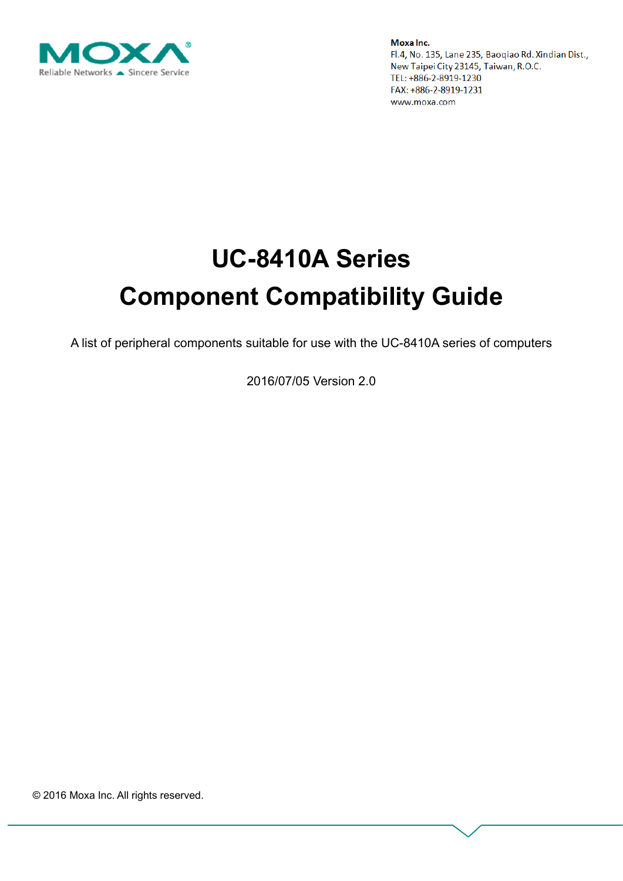

# **UC-8410A Series Component Compatibility Guide**

A list of peripheral components suitable for use with the UC-8410A series of computers

2016/07/05 Version 2.0

© 2016 Moxa Inc. All rights reserved.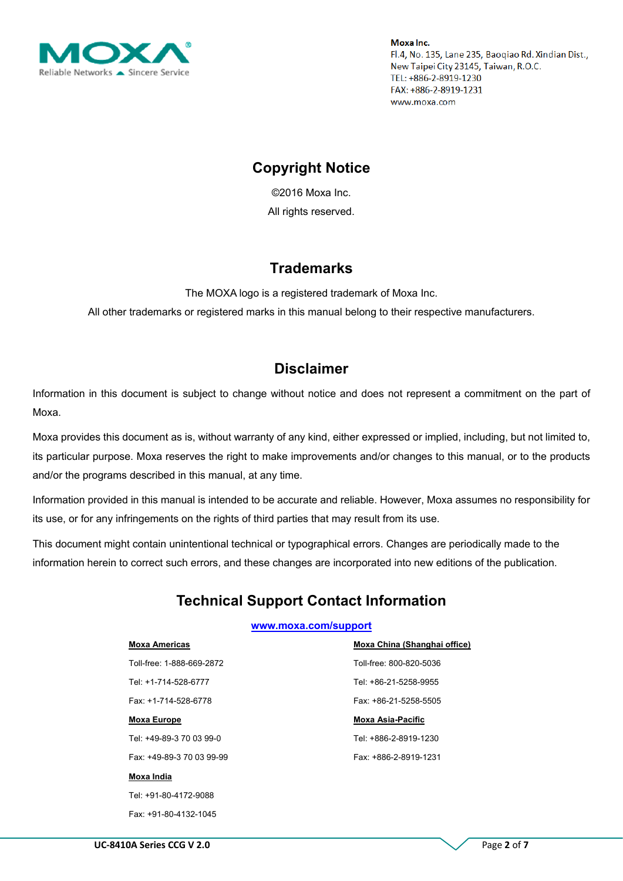

## **Copyright Notice**

©2016 Moxa Inc. All rights reserved.

## **Trademarks**

The MOXA logo is a registered trademark of Moxa Inc. All other trademarks or registered marks in this manual belong to their respective manufacturers.

## **Disclaimer**

Information in this document is subject to change without notice and does not represent a commitment on the part of Moxa.

Moxa provides this document as is, without warranty of any kind, either expressed or implied, including, but not limited to, its particular purpose. Moxa reserves the right to make improvements and/or changes to this manual, or to the products and/or the programs described in this manual, at any time.

Information provided in this manual is intended to be accurate and reliable. However, Moxa assumes no responsibility for its use, or for any infringements on the rights of third parties that may result from its use.

This document might contain unintentional technical or typographical errors. Changes are periodically made to the information herein to correct such errors, and these changes are incorporated into new editions of the publication.

# **Technical Support Contact Information**

#### **[www.moxa.com/support](http://www.moxa.com/support)**

#### **Moxa Americas**

Toll-free: 1-888-669-2872 Tel: +1-714-528-6777 Fax: +1-714-528-6778

#### **Moxa Europe**

Tel: +49-89-3 70 03 99-0

Fax: +49-89-3 70 03 99-99

#### **Moxa India**

Tel: +91-80-4172-9088 Fax: +91-80-4132-1045 **Moxa China (Shanghai office)** Toll-free: 800-820-5036 Tel: +86-21-5258-9955 Fax: +86-21-5258-5505

#### **Moxa Asia-Pacific**

Tel: +886-2-8919-1230 Fax: +886-2-8919-1231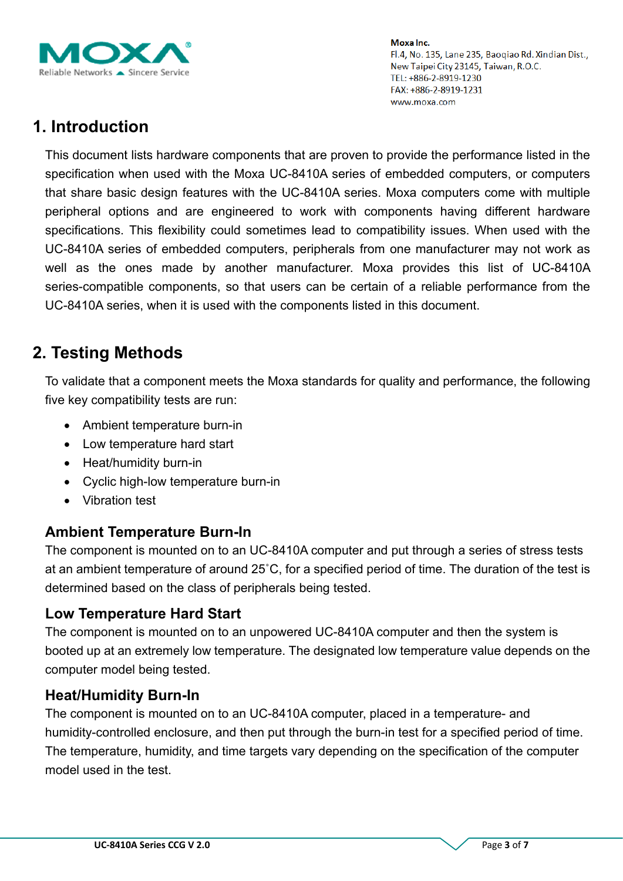

# **1. Introduction**

This document lists hardware components that are proven to provide the performance listed in the specification when used with the Moxa UC-8410A series of embedded computers, or computers that share basic design features with the UC-8410A series. Moxa computers come with multiple peripheral options and are engineered to work with components having different hardware specifications. This flexibility could sometimes lead to compatibility issues. When used with the UC-8410A series of embedded computers, peripherals from one manufacturer may not work as well as the ones made by another manufacturer. Moxa provides this list of UC-8410A series-compatible components, so that users can be certain of a reliable performance from the UC-8410A series, when it is used with the components listed in this document.

# **2. Testing Methods**

To validate that a component meets the Moxa standards for quality and performance, the following five key compatibility tests are run:

- Ambient temperature burn-in
- Low temperature hard start
- Heat/humidity burn-in
- Cyclic high-low temperature burn-in
- Vibration test

## **Ambient Temperature Burn-In**

The component is mounted on to an UC-8410A computer and put through a series of stress tests at an ambient temperature of around 25˚C, for a specified period of time. The duration of the test is determined based on the class of peripherals being tested.

## **Low Temperature Hard Start**

The component is mounted on to an unpowered UC-8410A computer and then the system is booted up at an extremely low temperature. The designated low temperature value depends on the computer model being tested.

## **Heat/Humidity Burn-In**

The component is mounted on to an UC-8410A computer, placed in a temperature- and humidity-controlled enclosure, and then put through the burn-in test for a specified period of time. The temperature, humidity, and time targets vary depending on the specification of the computer model used in the test.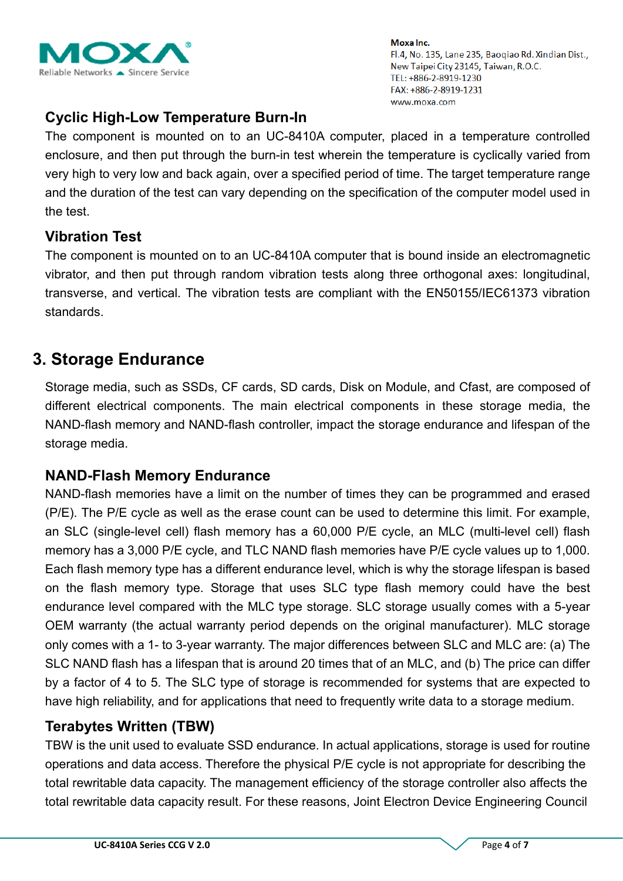

## **Cyclic High-Low Temperature Burn-In**

The component is mounted on to an UC-8410A computer, placed in a temperature controlled enclosure, and then put through the burn-in test wherein the temperature is cyclically varied from very high to very low and back again, over a specified period of time. The target temperature range and the duration of the test can vary depending on the specification of the computer model used in the test.

## **Vibration Test**

The component is mounted on to an UC-8410A computer that is bound inside an electromagnetic vibrator, and then put through random vibration tests along three orthogonal axes: longitudinal, transverse, and vertical. The vibration tests are compliant with the EN50155/IEC61373 vibration standards.

## **3. Storage Endurance**

Storage media, such as SSDs, CF cards, SD cards, Disk on Module, and Cfast, are composed of different electrical components. The main electrical components in these storage media, the NAND-flash memory and NAND-flash controller, impact the storage endurance and lifespan of the storage media.

## **NAND-Flash Memory Endurance**

NAND-flash memories have a limit on the number of times they can be programmed and erased (P/E). The P/E cycle as well as the erase count can be used to determine this limit. For example, an SLC (single-level cell) flash memory has a 60,000 P/E cycle, an MLC (multi-level cell) flash memory has a 3,000 P/E cycle, and TLC NAND flash memories have P/E cycle values up to 1,000. Each flash memory type has a different endurance level, which is why the storage lifespan is based on the flash memory type. Storage that uses SLC type flash memory could have the best endurance level compared with the MLC type storage. SLC storage usually comes with a 5-year OEM warranty (the actual warranty period depends on the original manufacturer). MLC storage only comes with a 1- to 3-year warranty. The major differences between SLC and MLC are: (a) The SLC NAND flash has a lifespan that is around 20 times that of an MLC, and (b) The price can differ by a factor of 4 to 5. The SLC type of storage is recommended for systems that are expected to have high reliability, and for applications that need to frequently write data to a storage medium.

## **Terabytes Written (TBW)**

TBW is the unit used to evaluate SSD endurance. In actual applications, storage is used for routine operations and data access. Therefore the physical P/E cycle is not appropriate for describing the total rewritable data capacity. The management efficiency of the storage controller also affects the total rewritable data capacity result. For these reasons, Joint Electron Device Engineering Council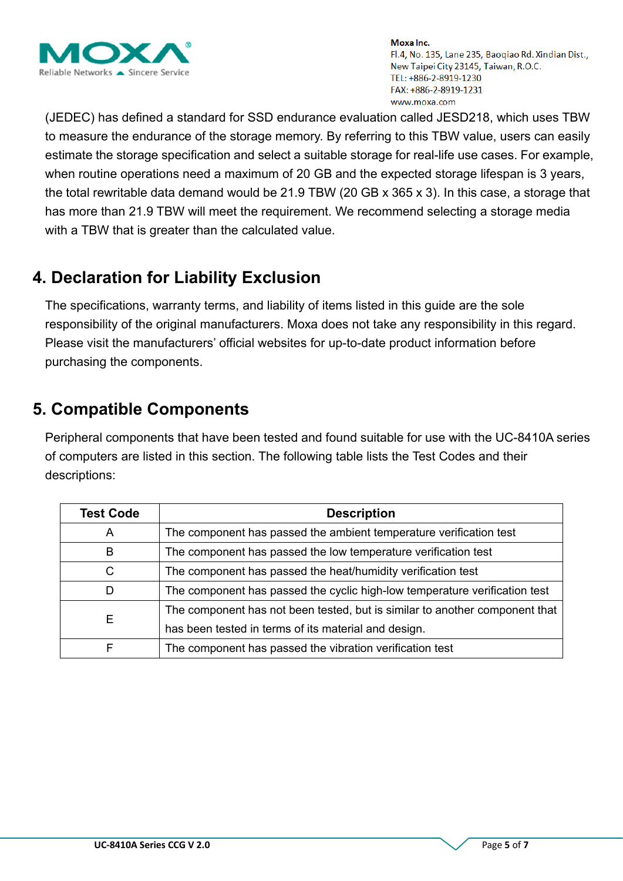

(JEDEC) has defined a standard for SSD endurance evaluation called JESD218, which uses TBW to measure the endurance of the storage memory. By referring to this TBW value, users can easily estimate the storage specification and select a suitable storage for real-life use cases. For example, when routine operations need a maximum of 20 GB and the expected storage lifespan is 3 years, the total rewritable data demand would be 21.9 TBW (20 GB x 365 x 3). In this case, a storage that has more than 21.9 TBW will meet the requirement. We recommend selecting a storage media with a TBW that is greater than the calculated value.

# **4. Declaration for Liability Exclusion**

The specifications, warranty terms, and liability of items listed in this guide are the sole responsibility of the original manufacturers. Moxa does not take any responsibility in this regard. Please visit the manufacturers' official websites for up-to-date product information before purchasing the components.

# **5. Compatible Components**

Peripheral components that have been tested and found suitable for use with the UC-8410A series of computers are listed in this section. The following table lists the Test Codes and their descriptions:

| <b>Test Code</b> | <b>Description</b>                                                          |  |  |  |  |  |
|------------------|-----------------------------------------------------------------------------|--|--|--|--|--|
| A                | The component has passed the ambient temperature verification test          |  |  |  |  |  |
| B                | The component has passed the low temperature verification test              |  |  |  |  |  |
| C                | The component has passed the heat/humidity verification test                |  |  |  |  |  |
|                  | The component has passed the cyclic high-low temperature verification test  |  |  |  |  |  |
| Е                | The component has not been tested, but is similar to another component that |  |  |  |  |  |
|                  | has been tested in terms of its material and design.                        |  |  |  |  |  |
| F                | The component has passed the vibration verification test                    |  |  |  |  |  |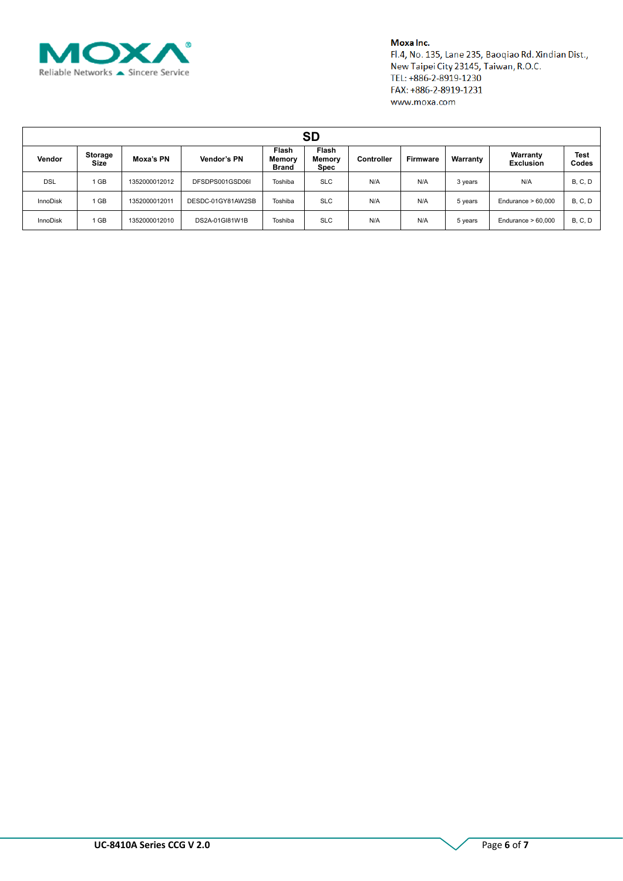

#### Moxa Inc.

Fl.4, No. 135, Lane 235, Baoqiao Rd. Xindian Dist., New Taipei City 23145, Taiwan, R.O.C. TEL: +886-2-8919-1230 FAX: +886-2-8919-1231 www.moxa.com

| <b>SD</b>       |                        |               |                   |                                 |                                |                   |                 |          |                              |                      |
|-----------------|------------------------|---------------|-------------------|---------------------------------|--------------------------------|-------------------|-----------------|----------|------------------------------|----------------------|
| Vendor          | Storage<br><b>Size</b> | Moxa's PN     | Vendor's PN       | Flash<br>Memory<br><b>Brand</b> | Flash<br><b>Memory</b><br>Spec | <b>Controller</b> | <b>Firmware</b> | Warranty | Warranty<br><b>Exclusion</b> | <b>Test</b><br>Codes |
| <b>DSL</b>      | 1 GB                   | 1352000012012 | DFSDPS001GSD06I   | Toshiba                         | <b>SLC</b>                     | N/A               | N/A             | 3 years  | N/A                          | <b>B, C, D</b>       |
| <b>InnoDisk</b> | 1 GB                   | 1352000012011 | DESDC-01GY81AW2SB | Toshiba                         | <b>SLC</b>                     | N/A               | N/A             | 5 years  | Endurance $> 60,000$         | <b>B, C, D</b>       |
| <b>InnoDisk</b> | 1 GB                   | 1352000012010 | DS2A-01GI81W1B    | Toshiba                         | <b>SLC</b>                     | N/A               | N/A             | 5 years  | Endurance $> 60,000$         | <b>B, C, D</b>       |